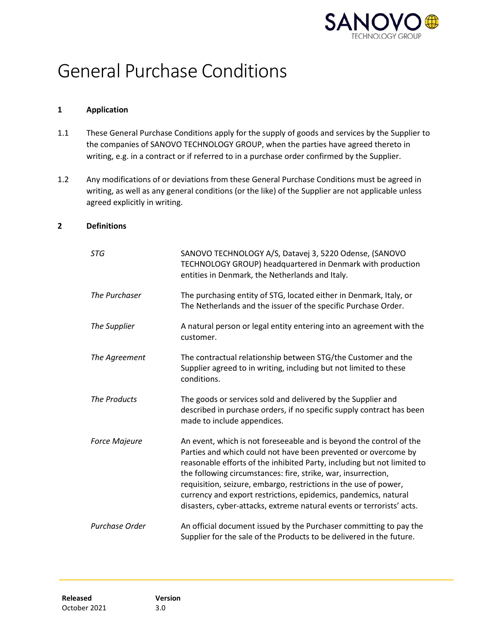

# General Purchase Conditions

### **1 Application**

- 1.1 These General Purchase Conditions apply for the supply of goods and services by the Supplier to the companies of SANOVO TECHNOLOGY GROUP, when the parties have agreed thereto in writing, e.g. in a contract or if referred to in a purchase order confirmed by the Supplier.
- 1.2 Any modifications of or deviations from these General Purchase Conditions must be agreed in writing, as well as any general conditions (or the like) of the Supplier are not applicable unless agreed explicitly in writing.

# **2 Definitions**

| <b>STG</b>           | SANOVO TECHNOLOGY A/S, Datavej 3, 5220 Odense, (SANOVO<br>TECHNOLOGY GROUP) headquartered in Denmark with production<br>entities in Denmark, the Netherlands and Italy.                                                                                                                                                                                                                                                                                                                           |
|----------------------|---------------------------------------------------------------------------------------------------------------------------------------------------------------------------------------------------------------------------------------------------------------------------------------------------------------------------------------------------------------------------------------------------------------------------------------------------------------------------------------------------|
| The Purchaser        | The purchasing entity of STG, located either in Denmark, Italy, or<br>The Netherlands and the issuer of the specific Purchase Order.                                                                                                                                                                                                                                                                                                                                                              |
| The Supplier         | A natural person or legal entity entering into an agreement with the<br>customer.                                                                                                                                                                                                                                                                                                                                                                                                                 |
| The Agreement        | The contractual relationship between STG/the Customer and the<br>Supplier agreed to in writing, including but not limited to these<br>conditions.                                                                                                                                                                                                                                                                                                                                                 |
| The Products         | The goods or services sold and delivered by the Supplier and<br>described in purchase orders, if no specific supply contract has been<br>made to include appendices.                                                                                                                                                                                                                                                                                                                              |
| <b>Force Majeure</b> | An event, which is not foreseeable and is beyond the control of the<br>Parties and which could not have been prevented or overcome by<br>reasonable efforts of the inhibited Party, including but not limited to<br>the following circumstances: fire, strike, war, insurrection,<br>requisition, seizure, embargo, restrictions in the use of power,<br>currency and export restrictions, epidemics, pandemics, natural<br>disasters, cyber-attacks, extreme natural events or terrorists' acts. |
| Purchase Order       | An official document issued by the Purchaser committing to pay the<br>Supplier for the sale of the Products to be delivered in the future.                                                                                                                                                                                                                                                                                                                                                        |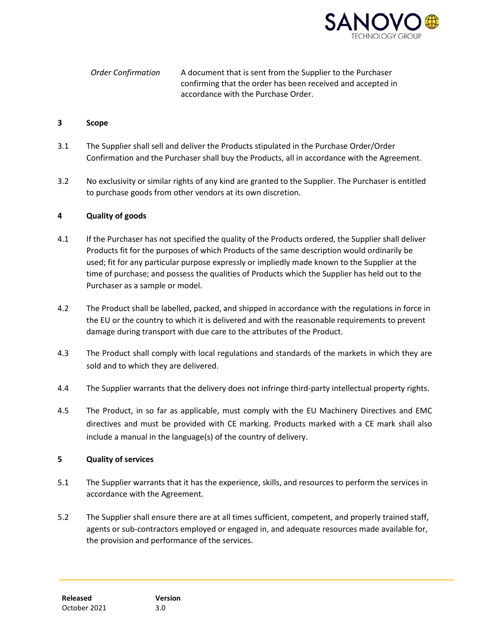

*Order Confirmation* A document that is sent from the Supplier to the Purchaser confirming that the order has been received and accepted in accordance with the Purchase Order.

### **3 Scope**

- 3.1 The Supplier shall sell and deliver the Products stipulated in the Purchase Order/Order Confirmation and the Purchaser shall buy the Products, all in accordance with the Agreement.
- 3.2 No exclusivity or similar rights of any kind are granted to the Supplier. The Purchaser is entitled to purchase goods from other vendors at its own discretion.

# **4 Quality of goods**

- 4.1 If the Purchaser has not specified the quality of the Products ordered, the Supplier shall deliver Products fit for the purposes of which Products of the same description would ordinarily be used; fit for any particular purpose expressly or impliedly made known to the Supplier at the time of purchase; and possess the qualities of Products which the Supplier has held out to the Purchaser as a sample or model.
- 4.2 The Product shall be labelled, packed, and shipped in accordance with the regulations in force in the EU or the country to which it is delivered and with the reasonable requirements to prevent damage during transport with due care to the attributes of the Product.
- 4.3 The Product shall comply with local regulations and standards of the markets in which they are sold and to which they are delivered.
- 4.4 The Supplier warrants that the delivery does not infringe third-party intellectual property rights.
- 4.5 The Product, in so far as applicable, must comply with the EU Machinery Directives and EMC directives and must be provided with CE marking. Products marked with a CE mark shall also include a manual in the language(s) of the country of delivery.

# **5 Quality of services**

- 5.1 The Supplier warrants that it has the experience, skills, and resources to perform the services in accordance with the Agreement.
- 5.2 The Supplier shall ensure there are at all times sufficient, competent, and properly trained staff, agents or sub-contractors employed or engaged in, and adequate resources made available for, the provision and performance of the services.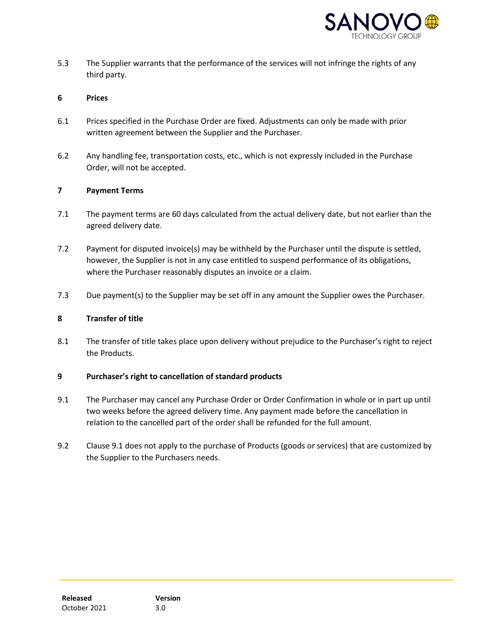

5.3 The Supplier warrants that the performance of the services will not infringe the rights of any third party.

### **6 Prices**

- 6.1 Prices specified in the Purchase Order are fixed. Adjustments can only be made with prior written agreement between the Supplier and the Purchaser.
- 6.2 Any handling fee, transportation costs, etc., which is not expressly included in the Purchase Order, will not be accepted.

#### **7 Payment Terms**

- 7.1 The payment terms are 60 days calculated from the actual delivery date, but not earlier than the agreed delivery date.
- 7.2 Payment for disputed invoice(s) may be withheld by the Purchaser until the dispute is settled, however, the Supplier is not in any case entitled to suspend performance of its obligations, where the Purchaser reasonably disputes an invoice or a claim.
- 7.3 Due payment(s) to the Supplier may be set off in any amount the Supplier owes the Purchaser.

### **8 Transfer of title**

8.1 The transfer of title takes place upon delivery without prejudice to the Purchaser's right to reject the Products.

# **9 Purchaser's right to cancellation of standard products**

- 9.1 The Purchaser may cancel any Purchase Order or Order Confirmation in whole or in part up until two weeks before the agreed delivery time. Any payment made before the cancellation in relation to the cancelled part of the order shall be refunded for the full amount.
- 9.2 Clause 9.1 does not apply to the purchase of Products (goods or services) that are customized by the Supplier to the Purchasers needs.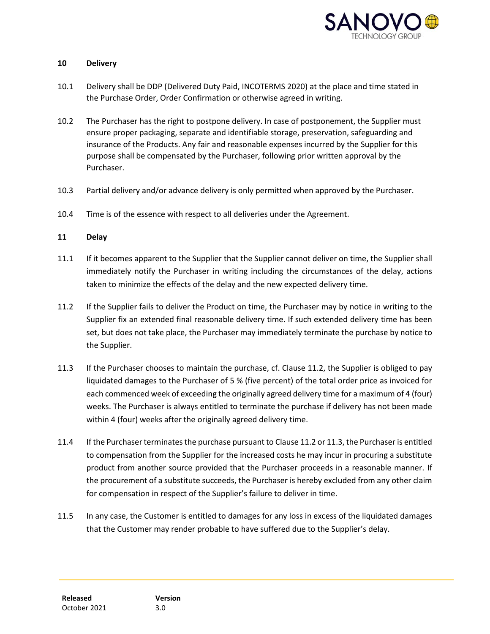

### **10 Delivery**

- 10.1 Delivery shall be DDP (Delivered Duty Paid, INCOTERMS 2020) at the place and time stated in the Purchase Order, Order Confirmation or otherwise agreed in writing.
- 10.2 The Purchaser has the right to postpone delivery. In case of postponement, the Supplier must ensure proper packaging, separate and identifiable storage, preservation, safeguarding and insurance of the Products. Any fair and reasonable expenses incurred by the Supplier for this purpose shall be compensated by the Purchaser, following prior written approval by the Purchaser.
- 10.3 Partial delivery and/or advance delivery is only permitted when approved by the Purchaser.
- 10.4 Time is of the essence with respect to all deliveries under the Agreement.

# **11 Delay**

- 11.1 If it becomes apparent to the Supplier that the Supplier cannot deliver on time, the Supplier shall immediately notify the Purchaser in writing including the circumstances of the delay, actions taken to minimize the effects of the delay and the new expected delivery time.
- 11.2 If the Supplier fails to deliver the Product on time, the Purchaser may by notice in writing to the Supplier fix an extended final reasonable delivery time. If such extended delivery time has been set, but does not take place, the Purchaser may immediately terminate the purchase by notice to the Supplier.
- 11.3 If the Purchaser chooses to maintain the purchase, cf. Clause 11.2, the Supplier is obliged to pay liquidated damages to the Purchaser of 5 % (five percent) of the total order price as invoiced for each commenced week of exceeding the originally agreed delivery time for a maximum of 4 (four) weeks. The Purchaser is always entitled to terminate the purchase if delivery has not been made within 4 (four) weeks after the originally agreed delivery time.
- 11.4 If the Purchaser terminates the purchase pursuant to Clause 11.2 or 11.3, the Purchaser is entitled to compensation from the Supplier for the increased costs he may incur in procuring a substitute product from another source provided that the Purchaser proceeds in a reasonable manner. If the procurement of a substitute succeeds, the Purchaser is hereby excluded from any other claim for compensation in respect of the Supplier's failure to deliver in time.
- 11.5 In any case, the Customer is entitled to damages for any loss in excess of the liquidated damages that the Customer may render probable to have suffered due to the Supplier's delay.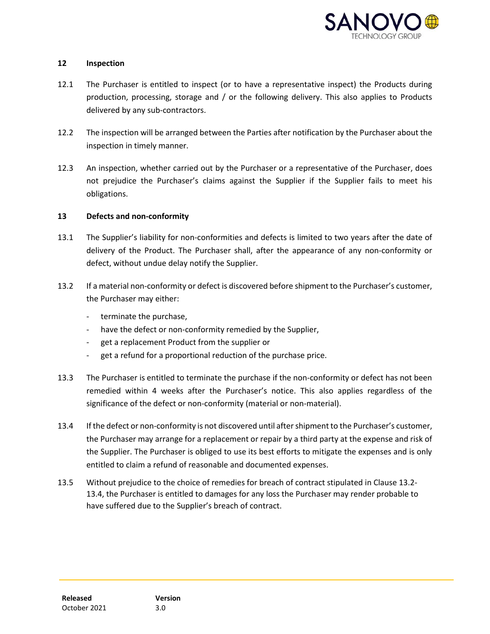

### **12 Inspection**

- 12.1 The Purchaser is entitled to inspect (or to have a representative inspect) the Products during production, processing, storage and / or the following delivery. This also applies to Products delivered by any sub-contractors.
- 12.2 The inspection will be arranged between the Parties after notification by the Purchaser about the inspection in timely manner.
- 12.3 An inspection, whether carried out by the Purchaser or a representative of the Purchaser, does not prejudice the Purchaser's claims against the Supplier if the Supplier fails to meet his obligations.

# **13 Defects and non-conformity**

- 13.1 The Supplier's liability for non-conformities and defects is limited to two years after the date of delivery of the Product. The Purchaser shall, after the appearance of any non-conformity or defect, without undue delay notify the Supplier.
- 13.2 If a material non-conformity or defect is discovered before shipment to the Purchaser's customer, the Purchaser may either:
	- terminate the purchase,
	- have the defect or non-conformity remedied by the Supplier,
	- get a replacement Product from the supplier or
	- get a refund for a proportional reduction of the purchase price.
- 13.3 The Purchaser is entitled to terminate the purchase if the non-conformity or defect has not been remedied within 4 weeks after the Purchaser's notice. This also applies regardless of the significance of the defect or non-conformity (material or non-material).
- 13.4 If the defect or non-conformity is not discovered until after shipment to the Purchaser's customer, the Purchaser may arrange for a replacement or repair by a third party at the expense and risk of the Supplier. The Purchaser is obliged to use its best efforts to mitigate the expenses and is only entitled to claim a refund of reasonable and documented expenses.
- 13.5 Without prejudice to the choice of remedies for breach of contract stipulated in Clause 13.2- 13.4, the Purchaser is entitled to damages for any loss the Purchaser may render probable to have suffered due to the Supplier's breach of contract.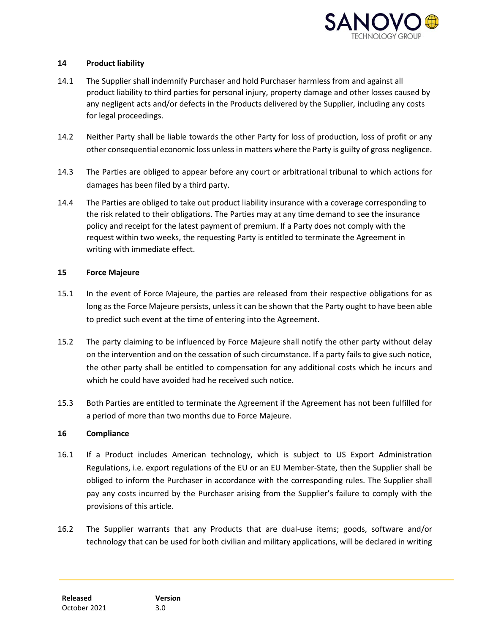

# **14 Product liability**

- 14.1 The Supplier shall indemnify Purchaser and hold Purchaser harmless from and against all product liability to third parties for personal injury, property damage and other losses caused by any negligent acts and/or defects in the Products delivered by the Supplier, including any costs for legal proceedings.
- 14.2 Neither Party shall be liable towards the other Party for loss of production, loss of profit or any other consequential economic loss unless in matters where the Party is guilty of gross negligence.
- 14.3 The Parties are obliged to appear before any court or arbitrational tribunal to which actions for damages has been filed by a third party.
- 14.4 The Parties are obliged to take out product liability insurance with a coverage corresponding to the risk related to their obligations. The Parties may at any time demand to see the insurance policy and receipt for the latest payment of premium. If a Party does not comply with the request within two weeks, the requesting Party is entitled to terminate the Agreement in writing with immediate effect.

#### **15 Force Majeure**

- 15.1 In the event of Force Majeure, the parties are released from their respective obligations for as long as the Force Majeure persists, unless it can be shown that the Party ought to have been able to predict such event at the time of entering into the Agreement.
- 15.2 The party claiming to be influenced by Force Majeure shall notify the other party without delay on the intervention and on the cessation of such circumstance. If a party fails to give such notice, the other party shall be entitled to compensation for any additional costs which he incurs and which he could have avoided had he received such notice.
- 15.3 Both Parties are entitled to terminate the Agreement if the Agreement has not been fulfilled for a period of more than two months due to Force Majeure.

# **16 Compliance**

- 16.1 If a Product includes American technology, which is subject to US Export Administration Regulations, i.e. export regulations of the EU or an EU Member-State, then the Supplier shall be obliged to inform the Purchaser in accordance with the corresponding rules. The Supplier shall pay any costs incurred by the Purchaser arising from the Supplier's failure to comply with the provisions of this article.
- 16.2 The Supplier warrants that any Products that are dual-use items; goods, software and/or technology that can be used for both civilian and military applications, will be declared in writing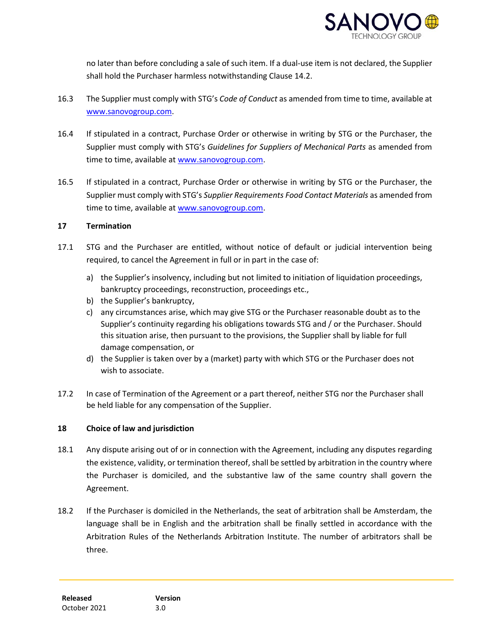

no later than before concluding a sale of such item. If a dual-use item is not declared, the Supplier shall hold the Purchaser harmless notwithstanding Clause 14.2.

- 16.3 The Supplier must comply with STG's *Code of Conduct* as amended from time to time, available at [www.sanovogroup.com.](http://www.sanovogroup.com/)
- 16.4 If stipulated in a contract, Purchase Order or otherwise in writing by STG or the Purchaser, the Supplier must comply with STG's *Guidelines for Suppliers of Mechanical Parts* as amended from time to time, available at [www.sanovogroup.com.](http://www.sanovogroup.com/)
- 16.5 If stipulated in a contract, Purchase Order or otherwise in writing by STG or the Purchaser, the Supplier must comply with STG's *Supplier Requirements Food Contact Materials* as amended from time to time, available at [www.sanovogroup.com.](http://www.sanovogroup.com/)

# **17 Termination**

- 17.1 STG and the Purchaser are entitled, without notice of default or judicial intervention being required, to cancel the Agreement in full or in part in the case of:
	- a) the Supplier's insolvency, including but not limited to initiation of liquidation proceedings, bankruptcy proceedings, reconstruction, proceedings etc.,
	- b) the Supplier's bankruptcy,
	- c) any circumstances arise, which may give STG or the Purchaser reasonable doubt as to the Supplier's continuity regarding his obligations towards STG and / or the Purchaser. Should this situation arise, then pursuant to the provisions, the Supplier shall by liable for full damage compensation, or
	- d) the Supplier is taken over by a (market) party with which STG or the Purchaser does not wish to associate.
- 17.2 In case of Termination of the Agreement or a part thereof, neither STG nor the Purchaser shall be held liable for any compensation of the Supplier.

# **18 Choice of law and jurisdiction**

- 18.1 Any dispute arising out of or in connection with the Agreement, including any disputes regarding the existence, validity, or termination thereof, shall be settled by arbitration in the country where the Purchaser is domiciled, and the substantive law of the same country shall govern the Agreement.
- 18.2 If the Purchaser is domiciled in the Netherlands, the seat of arbitration shall be Amsterdam, the language shall be in English and the arbitration shall be finally settled in accordance with the Arbitration Rules of the Netherlands Arbitration Institute. The number of arbitrators shall be three.